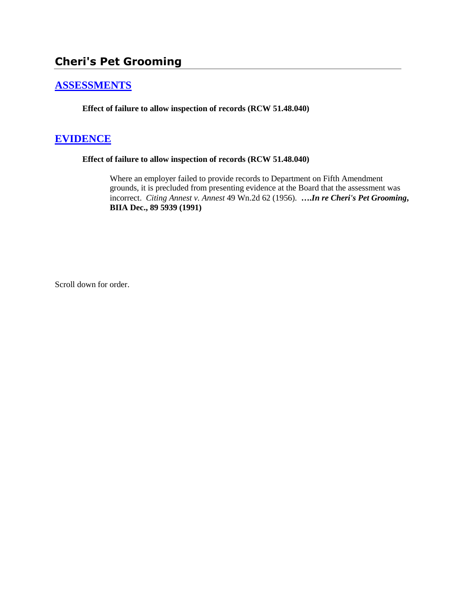# **[ASSESSMENTS](http://www.biia.wa.gov/SDSubjectIndex.html#ASSESSMENTS)**

**Effect of failure to allow inspection of records (RCW 51.48.040)**

# **[EVIDENCE](http://www.biia.wa.gov/SDSubjectIndex.html#EVIDENCE)**

### **Effect of failure to allow inspection of records (RCW 51.48.040)**

Where an employer failed to provide records to Department on Fifth Amendment grounds, it is precluded from presenting evidence at the Board that the assessment was incorrect. *Citing Annest v. Annest* 49 Wn.2d 62 (1956). **….***In re Cheri's Pet Grooming***, BIIA Dec., 89 5939 (1991)** 

Scroll down for order.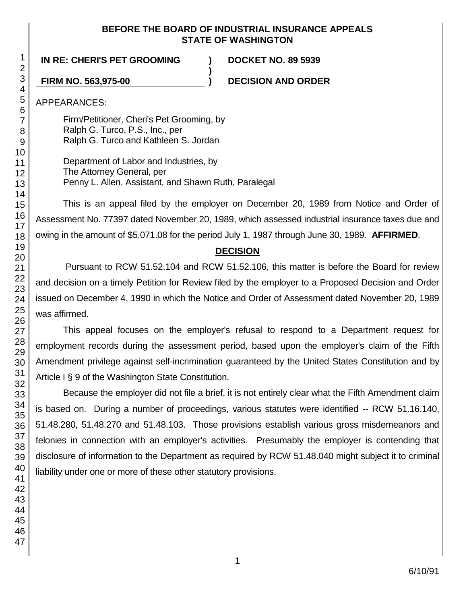### **BEFORE THE BOARD OF INDUSTRIAL INSURANCE APPEALS STATE OF WASHINGTON**

**)**

## **IN RE: CHERI'S PET GROOMING ) DOCKET NO. 89 5939**

**FIRM NO. 563,975-00 ) DECISION AND ORDER**

APPEARANCES:

Firm/Petitioner, Cheri's Pet Grooming, by Ralph G. Turco, P.S., Inc., per Ralph G. Turco and Kathleen S. Jordan

Department of Labor and Industries, by The Attorney General, per Penny L. Allen, Assistant, and Shawn Ruth, Paralegal

This is an appeal filed by the employer on December 20, 1989 from Notice and Order of Assessment No. 77397 dated November 20, 1989, which assessed industrial insurance taxes due and owing in the amount of \$5,071.08 for the period July 1, 1987 through June 30, 1989. **AFFIRMED**.

## **DECISION**

Pursuant to RCW 51.52.104 and RCW 51.52.106, this matter is before the Board for review and decision on a timely Petition for Review filed by the employer to a Proposed Decision and Order issued on December 4, 1990 in which the Notice and Order of Assessment dated November 20, 1989 was affirmed.

This appeal focuses on the employer's refusal to respond to a Department request for employment records during the assessment period, based upon the employer's claim of the Fifth Amendment privilege against self-incrimination guaranteed by the United States Constitution and by Article I § 9 of the Washington State Constitution.

Because the employer did not file a brief, it is not entirely clear what the Fifth Amendment claim is based on. During a number of proceedings, various statutes were identified -- RCW 51.16.140, 51.48.280, 51.48.270 and 51.48.103. Those provisions establish various gross misdemeanors and felonies in connection with an employer's activities. Presumably the employer is contending that disclosure of information to the Department as required by RCW 51.48.040 might subject it to criminal liability under one or more of these other statutory provisions.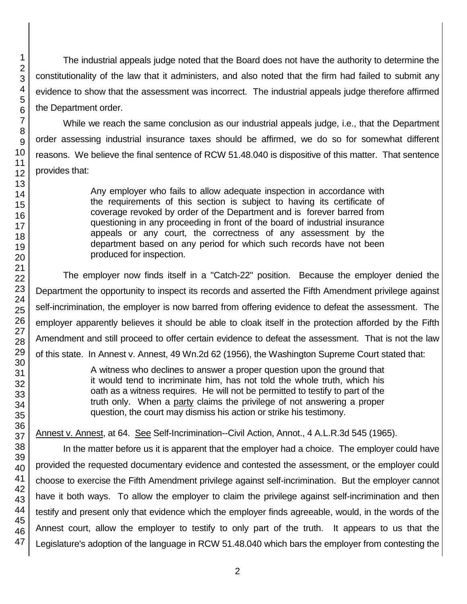The industrial appeals judge noted that the Board does not have the authority to determine the constitutionality of the law that it administers, and also noted that the firm had failed to submit any evidence to show that the assessment was incorrect. The industrial appeals judge therefore affirmed the Department order.

While we reach the same conclusion as our industrial appeals judge, i.e., that the Department order assessing industrial insurance taxes should be affirmed, we do so for somewhat different reasons. We believe the final sentence of RCW 51.48.040 is dispositive of this matter. That sentence provides that:

> Any employer who fails to allow adequate inspection in accordance with the requirements of this section is subject to having its certificate of coverage revoked by order of the Department and is forever barred from questioning in any proceeding in front of the board of industrial insurance appeals or any court, the correctness of any assessment by the department based on any period for which such records have not been produced for inspection.

The employer now finds itself in a "Catch-22" position. Because the employer denied the Department the opportunity to inspect its records and asserted the Fifth Amendment privilege against self-incrimination, the employer is now barred from offering evidence to defeat the assessment. The employer apparently believes it should be able to cloak itself in the protection afforded by the Fifth Amendment and still proceed to offer certain evidence to defeat the assessment. That is not the law of this state. In Annest v. Annest, 49 Wn.2d 62 (1956), the Washington Supreme Court stated that:

> A witness who declines to answer a proper question upon the ground that it would tend to incriminate him, has not told the whole truth, which his oath as a witness requires. He will not be permitted to testify to part of the truth only. When a party claims the privilege of not answering a proper question, the court may dismiss his action or strike his testimony.

Annest v. Annest, at 64. See Self-Incrimination--Civil Action, Annot., 4 A.L.R.3d 545 (1965).

In the matter before us it is apparent that the employer had a choice. The employer could have provided the requested documentary evidence and contested the assessment, or the employer could choose to exercise the Fifth Amendment privilege against self-incrimination. But the employer cannot have it both ways. To allow the employer to claim the privilege against self-incrimination and then testify and present only that evidence which the employer finds agreeable, would, in the words of the Annest court, allow the employer to testify to only part of the truth. It appears to us that the Legislature's adoption of the language in RCW 51.48.040 which bars the employer from contesting the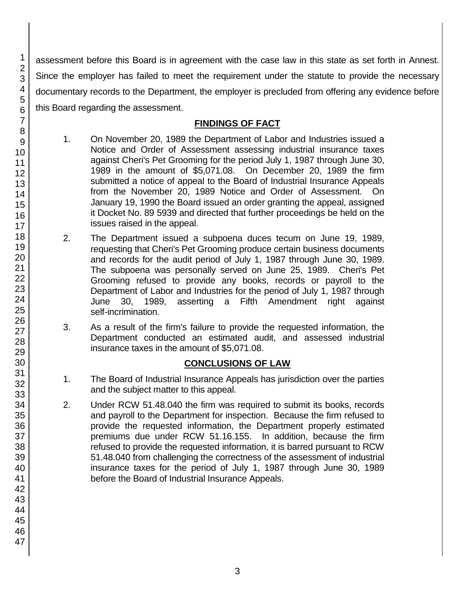assessment before this Board is in agreement with the case law in this state as set forth in Annest. Since the employer has failed to meet the requirement under the statute to provide the necessary documentary records to the Department, the employer is precluded from offering any evidence before this Board regarding the assessment.

## **FINDINGS OF FACT**

- 1. On November 20, 1989 the Department of Labor and Industries issued a Notice and Order of Assessment assessing industrial insurance taxes against Cheri's Pet Grooming for the period July 1, 1987 through June 30, 1989 in the amount of \$5,071.08. On December 20, 1989 the firm submitted a notice of appeal to the Board of Industrial Insurance Appeals from the November 20, 1989 Notice and Order of Assessment. On January 19, 1990 the Board issued an order granting the appeal, assigned it Docket No. 89 5939 and directed that further proceedings be held on the issues raised in the appeal.
- 2. The Department issued a subpoena duces tecum on June 19, 1989, requesting that Cheri's Pet Grooming produce certain business documents and records for the audit period of July 1, 1987 through June 30, 1989. The subpoena was personally served on June 25, 1989. Cheri's Pet Grooming refused to provide any books, records or payroll to the Department of Labor and Industries for the period of July 1, 1987 through June 30, 1989, asserting a Fifth Amendment right against self-incrimination.
- 3. As a result of the firm's failure to provide the requested information, the Department conducted an estimated audit, and assessed industrial insurance taxes in the amount of \$5,071.08.

### **CONCLUSIONS OF LAW**

- 1. The Board of Industrial Insurance Appeals has jurisdiction over the parties and the subject matter to this appeal.
- 2. Under RCW 51.48.040 the firm was required to submit its books, records and payroll to the Department for inspection. Because the firm refused to provide the requested information, the Department properly estimated premiums due under RCW 51.16.155. In addition, because the firm refused to provide the requested information, it is barred pursuant to RCW 51.48.040 from challenging the correctness of the assessment of industrial insurance taxes for the period of July 1, 1987 through June 30, 1989 before the Board of Industrial Insurance Appeals.